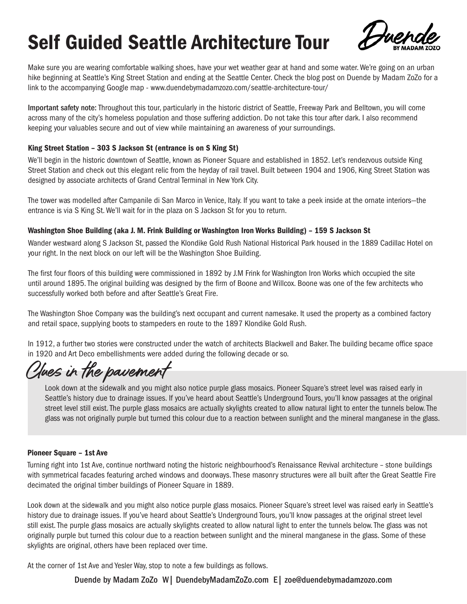

Make sure you are wearing comfortable walking shoes, have your wet weather gear at hand and some water. We're going on an urban hike beginning at Seattle's King Street Station and ending at the Seattle Center. Check the blog post on Duende by Madam ZoZo for a link to the accompanying Google map - www.duendebymadamzozo.com/seattle-architecture-tour/

Important safety note: Throughout this tour, particularly in the historic district of Seattle, Freeway Park and Belltown, you will come across many of the city's homeless population and those suffering addiction. Do not take this tour after dark. I also recommend keeping your valuables secure and out of view while maintaining an awareness of your surroundings.

## King Street Station – 303 S Jackson St (entrance is on S King St)

We'll begin in the historic downtown of Seattle, known as Pioneer Square and established in 1852. Let's rendezvous outside King Street Station and check out this elegant relic from the heyday of rail travel. Built between 1904 and 1906, King Street Station was designed by associate architects of Grand Central Terminal in New York City.

The tower was modelled after Campanile di San Marco in Venice, Italy. If you want to take a peek inside at the ornate interiors—the entrance is via S King St. We'll wait for in the plaza on S Jackson St for you to return.

## Washington Shoe Building (aka J. M. Frink Building or Washington Iron Works Building) – 159 S Jackson St

Wander westward along S Jackson St, passed the Klondike Gold Rush National Historical Park housed in the 1889 Cadillac Hotel on your right. In the next block on our left will be the Washington Shoe Building.

The first four floors of this building were commissioned in 1892 by J.M Frink for Washington Iron Works which occupied the site until around 1895. The original building was designed by the firm of Boone and Willcox. Boone was one of the few architects who successfully worked both before and after Seattle's Great Fire.

The Washington Shoe Company was the building's next occupant and current namesake. It used the property as a combined factory and retail space, supplying boots to stampeders en route to the 1897 Klondike Gold Rush.

In 1912, a further two stories were constructed under the watch of architects Blackwell and Baker. The building became office space in 1920 and Art Deco embellishments were added during the following decade or so.

*Clues in the pavement*

Look down at the sidewalk and you might also notice purple glass mosaics. Pioneer Square's street level was raised early in Seattle's history due to drainage issues. If you've heard about Seattle's Underground Tours, you'll know passages at the original street level still exist. The purple glass mosaics are actually skylights created to allow natural light to enter the tunnels below. The glass was not originally purple but turned this colour due to a reaction between sunlight and the mineral manganese in the glass.

## Pioneer Square – 1st Ave

Turning right into 1st Ave, continue northward noting the historic neighbourhood's Renaissance Revival architecture – stone buildings with symmetrical facades featuring arched windows and doorways. These masonry structures were all built after the Great Seattle Fire decimated the original timber buildings of Pioneer Square in 1889.

Look down at the sidewalk and you might also notice purple glass mosaics. Pioneer Square's street level was raised early in Seattle's history due to drainage issues. If you've heard about Seattle's Underground Tours, you'll know passages at the original street level still exist. The purple glass mosaics are actually skylights created to allow natural light to enter the tunnels below. The glass was not originally purple but turned this colour due to a reaction between sunlight and the mineral manganese in the glass. Some of these skylights are original, others have been replaced over time.

At the corner of 1st Ave and Yesler Way, stop to note a few buildings as follows.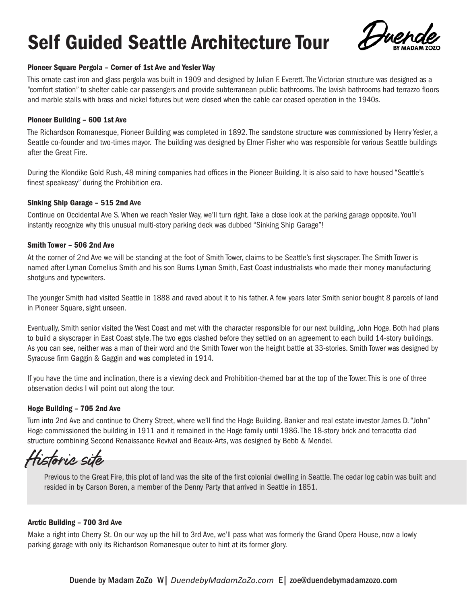

## Pioneer Square Pergola – Corner of 1st Ave and Yesler Way

This ornate cast iron and glass pergola was built in 1909 and designed by Julian F. Everett. The Victorian structure was designed as a "comfort station" to shelter cable car passengers and provide subterranean public bathrooms. The lavish bathrooms had terrazzo floors and marble stalls with brass and nickel fixtures but were closed when the cable car ceased operation in the 1940s.

## Pioneer Building – 600 1st Ave

The Richardson Romanesque, Pioneer Building was completed in 1892. The sandstone structure was commissioned by Henry Yesler, a Seattle co-founder and two-times mayor. The building was designed by Elmer Fisher who was responsible for various Seattle buildings after the Great Fire.

During the Klondike Gold Rush, 48 mining companies had offices in the Pioneer Building. It is also said to have housed "Seattle's finest speakeasy" during the Prohibition era.

## Sinking Ship Garage – 515 2nd Ave

Continue on Occidental Ave S. When we reach Yesler Way, we'll turn right. Take a close look at the parking garage opposite. You'll instantly recognize why this unusual multi-story parking deck was dubbed "Sinking Ship Garage"!

## Smith Tower – 506 2nd Ave

At the corner of 2nd Ave we will be standing at the foot of Smith Tower, claims to be Seattle's first skyscraper. The Smith Tower is named after Lyman Cornelius Smith and his son Burns Lyman Smith, East Coast industrialists who made their money manufacturing shotguns and typewriters.

The younger Smith had visited Seattle in 1888 and raved about it to his father. A few years later Smith senior bought 8 parcels of land in Pioneer Square, sight unseen.

Eventually, Smith senior visited the West Coast and met with the character responsible for our next building, John Hoge. Both had plans to build a skyscraper in East Coast style. The two egos clashed before they settled on an agreement to each build 14-story buildings. As you can see, neither was a man of their word and the Smith Tower won the height battle at 33-stories. Smith Tower was designed by Syracuse firm Gaggin & Gaggin and was completed in 1914.

If you have the time and inclination, there is a viewing deck and Prohibition-themed bar at the top of the Tower. This is one of three observation decks I will point out along the tour.

## Hoge Building – 705 2nd Ave

Turn into 2nd Ave and continue to Cherry Street, where we'll find the Hoge Building. Banker and real estate investor James D. "John" Hoge commissioned the building in 1911 and it remained in the Hoge family until 1986. The 18-story brick and terracotta clad structure combining Second Renaissance Revival and Beaux-Arts, was designed by Bebb & Mendel.

*Historic site*

Previous to the Great Fire, this plot of land was the site of the first colonial dwelling in Seattle. The cedar log cabin was built and resided in by Carson Boren, a member of the Denny Party that arrived in Seattle in 1851.

## Arctic Building – 700 3rd Ave

Make a right into Cherry St. On our way up the hill to 3rd Ave, we'll pass what was formerly the Grand Opera House, now a lowly parking garage with only its Richardson Romanesque outer to hint at its former glory.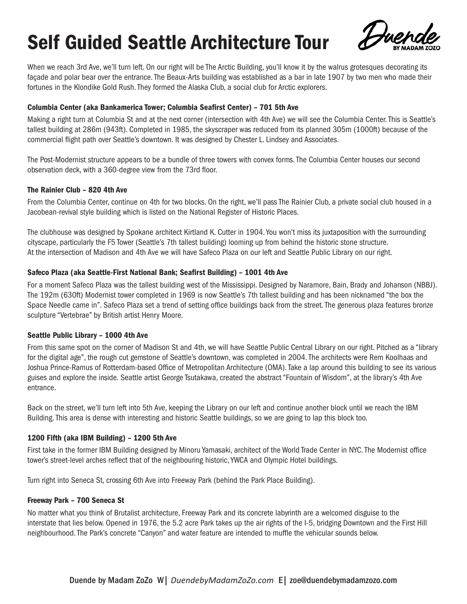

When we reach 3rd Ave, we'll turn left. On our right will be The Arctic Building, you'll know it by the walrus grotesques decorating its façade and polar bear over the entrance. The Beaux-Arts building was established as a bar in late 1907 by two men who made their fortunes in the Klondike Gold Rush. They formed the Alaska Club, a social club for Arctic explorers.

## Columbia Center (aka Bankamerica Tower; Columbia Seafirst Center) – 701 5th Ave

Making a right turn at Columbia St and at the next corner (intersection with 4th Ave) we will see the Columbia Center. This is Seattle's tallest building at 286m (943ft). Completed in 1985, the skyscraper was reduced from its planned 305m (1000ft) because of the commercial flight path over Seattle's downtown. It was designed by Chester L. Lindsey and Associates.

The Post-Modernist structure appears to be a bundle of three towers with convex forms. The Columbia Center houses our second observation deck, with a 360-degree view from the 73rd floor.

## The Rainier Club – 820 4th Ave

From the Columbia Center, continue on 4th for two blocks. On the right, we'll pass The Rainier Club, a private social club housed in a Jacobean-revival style building which is listed on the National Register of Historic Places.

The clubhouse was designed by Spokane architect Kirtland K. Cutter in 1904. You won't miss its juxtaposition with the surrounding cityscape, particularly the F5 Tower (Seattle's 7th tallest building) looming up from behind the historic stone structure. At the intersection of Madison and 4th Ave we will have Safeco Plaza on our left and Seattle Public Library on our right.

# Safeco Plaza (aka Seattle-First National Bank; Seafirst Building) – 1001 4th Ave

For a moment Safeco Plaza was the tallest building west of the Mississippi. Designed by Naramore, Bain, Brady and Johanson (NBBJ). The 192m (630ft) Modernist tower completed in 1969 is now Seattle's 7th tallest building and has been nicknamed "the box the Space Needle came in". Safeco Plaza set a trend of setting office buildings back from the street. The generous plaza features bronze sculpture "Vertebrae" by British artist Henry Moore.

## Seattle Public Library – 1000 4th Ave

From this same spot on the corner of Madison St and 4th, we will have Seattle Public Central Library on our right. Pitched as a "library for the digital age", the rough cut gemstone of Seattle's downtown, was completed in 2004. The architects were Rem Koolhaas and Joshua Prince-Ramus of Rotterdam-based Office of Metropolitan Architecture (OMA). Take a lap around this building to see its various guises and explore the inside. Seattle artist George Tsutakawa, created the abstract "Fountain of Wisdom", at the library's 4th Ave entrance.

Back on the street, we'll turn left into 5th Ave, keeping the Library on our left and continue another block until we reach the IBM Building. This area is dense with interesting and historic Seattle buildings, so we are going to lap this block too.

# 1200 Fifth (aka IBM Building) – 1200 5th Ave

First take in the former IBM Building designed by Minoru Yamasaki, architect of the World Trade Center in NYC. The Modernist office tower's street-level arches reflect that of the neighbouring historic, YWCA and Olympic Hotel buildings.

Turn right into Seneca St, crossing 6th Ave into Freeway Park (behind the Park Place Building).

## Freeway Park – 700 Seneca St

No matter what you think of Brutalist architecture, Freeway Park and its concrete labyrinth are a welcomed disguise to the interstate that lies below. Opened in 1976, the 5.2 acre Park takes up the air rights of the I-5, bridging Downtown and the First Hill neighbourhood. The Park's concrete "Canyon" and water feature are intended to muffle the vehicular sounds below.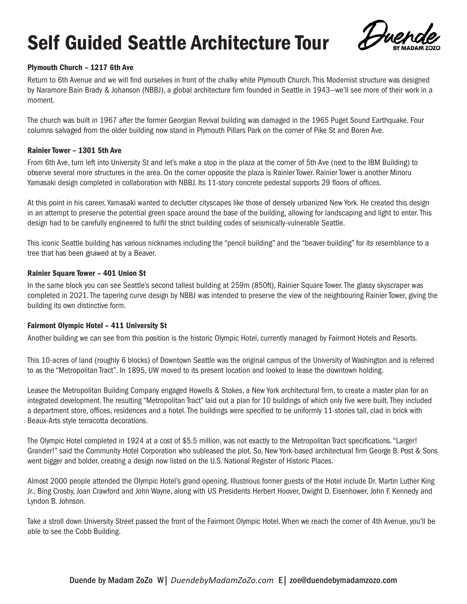

# Plymouth Church – 1217 6th Ave

Return to 6th Avenue and we will find ourselves in front of the chalky white Plymouth Church. This Modernist structure was designed by Naramore Bain Brady & Johanson (NBBJ), a global architecture firm founded in Seattle in 1943—we'll see more of their work in a moment.

The church was built in 1967 after the former Georgian Revival building was damaged in the 1965 Puget Sound Earthquake. Four columns salvaged from the older building now stand in Plymouth Pillars Park on the corner of Pike St and Boren Ave.

## Rainier Tower – 1301 5th Ave

From 6th Ave, turn left into University St and let's make a stop in the plaza at the corner of 5th Ave (next to the IBM Building) to observe several more structures in the area. On the corner opposite the plaza is Rainier Tower. Rainier Tower is another Minoru Yamasaki design completed in collaboration with NBBJ. Its 11-story concrete pedestal supports 29 floors of offices.

At this point in his career, Yamasaki wanted to declutter cityscapes like those of densely urbanized New York. He created this design in an attempt to preserve the potential green space around the base of the building, allowing for landscaping and light to enter. This design had to be carefully engineered to fulfil the strict building codes of seismically-vulnerable Seattle.

This iconic Seattle building has various nicknames including the "pencil building" and the "beaver building" for its resemblance to a tree that has been gnawed at by a Beaver.

## Rainier Square Tower – 401 Union St

In the same block you can see Seattle's second tallest building at 259m (850ft), Rainier Square Tower. The glassy skyscraper was completed in 2021. The tapering curve design by NBBJ was intended to preserve the view of the neighbouring Rainier Tower, giving the building its own distinctive form.

# Fairmont Olympic Hotel – 411 University St

Another building we can see from this position is the historic Olympic Hotel, currently managed by Fairmont Hotels and Resorts.

This 10-acres of land (roughly 6 blocks) of Downtown Seattle was the original campus of the University of Washington and is referred to as the "Metropolitan Tract". In 1895, UW moved to its present location and looked to lease the downtown holding.

Leasee the Metropolitan Building Company engaged Howells & Stokes, a New York architectural firm, to create a master plan for an integrated development. The resulting "Metropolitan Tract" laid out a plan for 10 buildings of which only five were built. They included a department store, offices, residences and a hotel. The buildings were specified to be uniformly 11-stories tall, clad in brick with Beaux-Arts style terracotta decorations.

The Olympic Hotel completed in 1924 at a cost of \$5.5 million, was not exactly to the Metropolitan Tract specifications. "Larger! Grander!" said the Community Hotel Corporation who subleased the plot. So, New York-based architectural firm George B. Post & Sons went bigger and bolder, creating a design now listed on the U.S. National Register of Historic Places.

Almost 2000 people attended the Olympic Hotel's grand opening. Illustrious former guests of the Hotel include Dr. Martin Luther King Jr., Bing Crosby, Joan Crawford and John Wayne, along with US Presidents Herbert Hoover, Dwight D. Eisenhower, John F. Kennedy and Lyndon B. Johnson.

Take a stroll down University Street passed the front of the Fairmont Olympic Hotel. When we reach the corner of 4th Avenue, you'll be able to see the Cobb Building.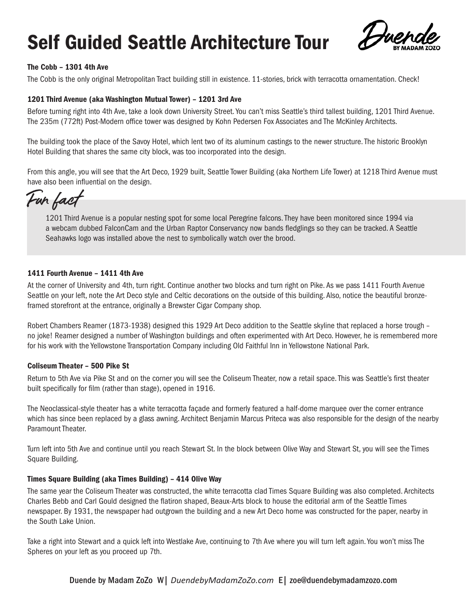

# The Cobb – 1301 4th Ave

The Cobb is the only original Metropolitan Tract building still in existence. 11-stories, brick with terracotta ornamentation. Check!

# 1201 Third Avenue (aka Washington Mutual Tower) – 1201 3rd Ave

Before turning right into 4th Ave, take a look down University Street. You can't miss Seattle's third tallest building, 1201 Third Avenue. The 235m (772ft) Post-Modern office tower was designed by Kohn Pedersen Fox Associates and The McKinley Architects.

The building took the place of the Savoy Hotel, which lent two of its aluminum castings to the newer structure. The historic Brooklyn Hotel Building that shares the same city block, was too incorporated into the design.

From this angle, you will see that the Art Deco, 1929 built, Seattle Tower Building (aka Northern Life Tower) at 1218 Third Avenue must have also been influential on the design.

*Fun fact*

1201 Third Avenue is a popular nesting spot for some local Peregrine falcons. They have been monitored since 1994 via a webcam dubbed FalconCam and the Urban Raptor Conservancy now bands fledglings so they can be tracked. A Seattle Seahawks logo was installed above the nest to symbolically watch over the brood.

## 1411 Fourth Avenue – 1411 4th Ave

At the corner of University and 4th, turn right. Continue another two blocks and turn right on Pike. As we pass 1411 Fourth Avenue Seattle on your left, note the Art Deco style and Celtic decorations on the outside of this building. Also, notice the beautiful bronzeframed storefront at the entrance, originally a Brewster Cigar Company shop.

Robert Chambers Reamer (1873-1938) designed this 1929 Art Deco addition to the Seattle skyline that replaced a horse trough – no joke! Reamer designed a number of Washington buildings and often experimented with Art Deco. However, he is remembered more for his work with the Yellowstone Transportation Company including Old Faithful Inn in Yellowstone National Park.

## Coliseum Theater – 500 Pike St

Return to 5th Ave via Pike St and on the corner you will see the Coliseum Theater, now a retail space. This was Seattle's first theater built specifically for film (rather than stage), opened in 1916.

The Neoclassical-style theater has a white terracotta façade and formerly featured a half-dome marquee over the corner entrance which has since been replaced by a glass awning. Architect Benjamin Marcus Priteca was also responsible for the design of the nearby Paramount Theater.

Turn left into 5th Ave and continue until you reach Stewart St. In the block between Olive Way and Stewart St, you will see the Times Square Building.

# Times Square Building (aka Times Building) – 414 Olive Way

The same year the Coliseum Theater was constructed, the white terracotta clad Times Square Building was also completed. Architects Charles Bebb and Carl Gould designed the flatiron shaped, Beaux-Arts block to house the editorial arm of the Seattle Times newspaper. By 1931, the newspaper had outgrown the building and a new Art Deco home was constructed for the paper, nearby in the South Lake Union.

Take a right into Stewart and a quick left into Westlake Ave, continuing to 7th Ave where you will turn left again. You won't miss The Spheres on your left as you proceed up 7th.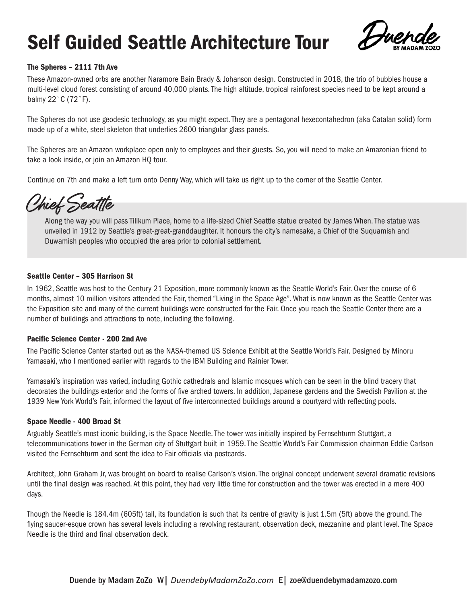

# The Spheres – 2111 7th Ave

These Amazon-owned orbs are another Naramore Bain Brady & Johanson design. Constructed in 2018, the trio of bubbles house a multi-level cloud forest consisting of around 40,000 plants. The high altitude, tropical rainforest species need to be kept around a balmy 22˚C (72˚F).

The Spheres do not use geodesic technology, as you might expect. They are a pentagonal hexecontahedron (aka Catalan solid) form made up of a white, steel skeleton that underlies 2600 triangular glass panels.

The Spheres are an Amazon workplace open only to employees and their guests. So, you will need to make an Amazonian friend to take a look inside, or join an Amazon HQ tour.

Continue on 7th and make a left turn onto Denny Way, which will take us right up to the corner of the Seattle Center.

*Chief Seattle*

Along the way you will pass Tilikum Place, home to a life-sized Chief Seattle statue created by James When. The statue was unveiled in 1912 by Seattle's great-great-granddaughter. It honours the city's namesake, a Chief of the Suquamish and Duwamish peoples who occupied the area prior to colonial settlement.

# Seattle Center – 305 Harrison St

In 1962, Seattle was host to the Century 21 Exposition, more commonly known as the Seattle World's Fair. Over the course of 6 months, almost 10 million visitors attended the Fair, themed "Living in the Space Age". What is now known as the Seattle Center was the Exposition site and many of the current buildings were constructed for the Fair. Once you reach the Seattle Center there are a number of buildings and attractions to note, including the following.

## Pacific Science Center - 200 2nd Ave

The Pacific Science Center started out as the NASA-themed US Science Exhibit at the Seattle World's Fair. Designed by Minoru Yamasaki, who I mentioned earlier with regards to the IBM Building and Rainier Tower.

Yamasaki's inspiration was varied, including Gothic cathedrals and Islamic mosques which can be seen in the blind tracery that decorates the buildings exterior and the forms of five arched towers. In addition, Japanese gardens and the Swedish Pavilion at the 1939 New York World's Fair, informed the layout of five interconnected buildings around a courtyard with reflecting pools.

## Space Needle - 400 Broad St

Arguably Seattle's most iconic building, is the Space Needle. The tower was initially inspired by Fernsehturm Stuttgart, a telecommunications tower in the German city of Stuttgart built in 1959. The Seattle World's Fair Commission chairman Eddie Carlson visited the Fernsehturm and sent the idea to Fair officials via postcards.

Architect, John Graham Jr, was brought on board to realise Carlson's vision. The original concept underwent several dramatic revisions until the final design was reached. At this point, they had very little time for construction and the tower was erected in a mere 400 days.

Though the Needle is 184.4m (605ft) tall, its foundation is such that its centre of gravity is just 1.5m (5ft) above the ground. The flying saucer-esque crown has several levels including a revolving restaurant, observation deck, mezzanine and plant level. The Space Needle is the third and final observation deck.